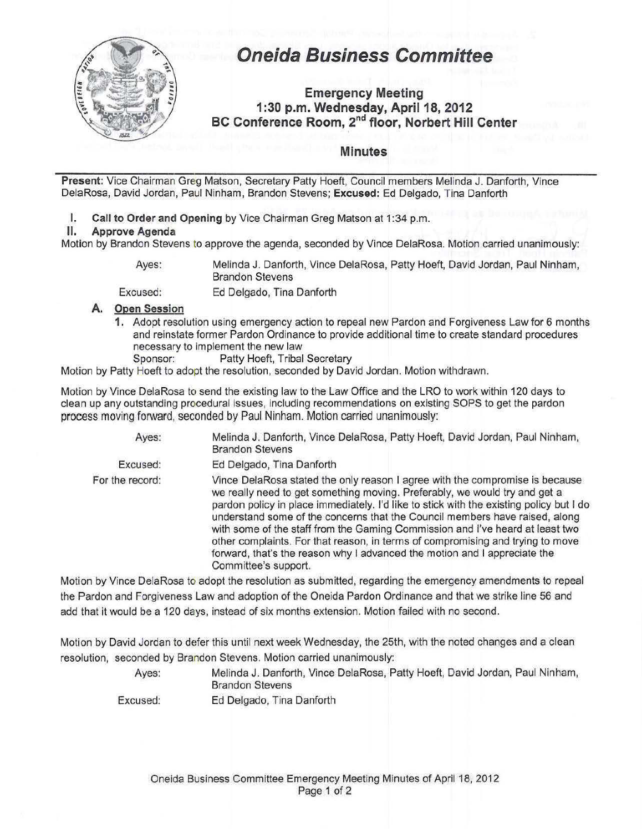

# **Oneida Business Committee**

## **Emergency Meeting 1:30 p.m. Wednesday, April18, 2012 BC Conference Room, 2"d floor, Norbert Hill Center**

### **Minutes**

**Present:** Vice Chairman Greg Matson, Secretary Patty Hoeft, Council members Melinda J. Danforth, Vince DelaRosa, David Jordan, Paul Ninham, Brandon Stevens; **Excused:** Ed Delgado, Tina Danforth

**I. Call to Order and Opening** by Vice Chairman Greg Matson at 1:34 p.m.

#### **II. Approve Agenda**

Motion by Brandon Stevens to approve the agenda, seconded by Vince DelaRosa. Motion carried unanimously:

Ayes:

Melinda J. Danforth, Vince DelaRosa, Patty Hoeft, David Jordan, Paul Ninham, Brandon Stevens

Ed Delgado, Tina Danforth

## Excused: **A. Open Session**

**1.** Adopt resolution using emergency action to repeal new Pardon and Forgiveness Law for 6 months and reinstate former Pardon Ordinance to provide additional time to create standard procedures necessary to implement the new law

Sponsor: Patty Hoeft, Tribal Secretary

Motion by Patty Hoeft to adopt the resolution, seconded by David Jordan. Motion withdrawn.

Motion by Vince DelaRosa to send the existing law to the Law Office and the LRO to work within 120 days to clean up any outstanding procedural issues, including recommendations on existing SOPS to get the pardon process moving forward, seconded by Paul Ninham. Motion carried unanimously:

| Ayes:           | Melinda J. Danforth, Vince DelaRosa, Patty Hoeft, David Jordan, Paul Ninham,<br><b>Brandon Stevens</b>                                                                                                                                                                                                                                                                                                                                                                                                                                                                                                       |
|-----------------|--------------------------------------------------------------------------------------------------------------------------------------------------------------------------------------------------------------------------------------------------------------------------------------------------------------------------------------------------------------------------------------------------------------------------------------------------------------------------------------------------------------------------------------------------------------------------------------------------------------|
| Excused:        | Ed Delgado, Tina Danforth                                                                                                                                                                                                                                                                                                                                                                                                                                                                                                                                                                                    |
| For the record: | Vince DelaRosa stated the only reason I agree with the compromise is because<br>we really need to get something moving. Preferably, we would try and get a<br>pardon policy in place immediately. I'd like to stick with the existing policy but I do<br>understand some of the concerns that the Council members have raised, along<br>with some of the staff from the Gaming Commission and I've heard at least two<br>other complaints. For that reason, in terms of compromising and trying to move<br>forward, that's the reason why I advanced the motion and I appreciate the<br>Committee's support. |

Motion by Vince DelaRosa to adopt the resolution as submitted, regarding the emergency amendments to repeal the Pardon and Forgiveness Law and adoption of the Oneida Pardon Ordinance and that we strike line 56 and add that it would be a 120 days, instead of six months extension. Motion failed with no second.

Motion by David Jordan to defer this until next week Wednesday, the 25th, with the noted changes and a clean resolution, seconded by Brandon Stevens. Motion carried unanimously:

> Ayes: Melinda J. Danforth, Vince DelaRosa, Patty Hoeft, David Jordan, Paul Ninham, Brandon Stevens

Excused: Ed Delgado, Tina Danforth